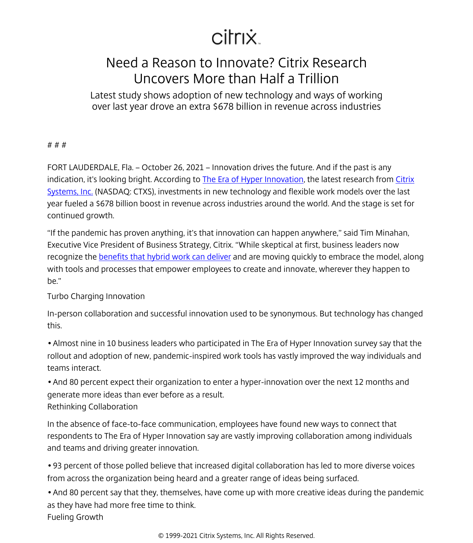# citrix.

## Need a Reason to Innovate? Citrix Research Uncovers More than Half a Trillion

Latest study shows adoption of new technology and ways of working over last year drove an extra \$678 billion in revenue across industries

#### # # #

FORT LAUDERDALE, Fla. – October 26, 2021 – Innovation drives the future. And if the past is any indication, it's looking bright. According to The Era of Hyper Innovation, the latest research from [Citrix](/content/citrix/tr-tr/
            .html) [Systems, Inc.](/content/citrix/tr-tr/
            .html) (NASDAQ: CTXS), investments in new technology and flexible work models over the last year fueled a \$678 billion boost in revenue across industries around the world. And the stage is set for continued growth.

"If the pandemic has proven anything, it's that innovation can happen anywhere," said Tim Minahan, Executive Vice President of Business Strategy, Citrix. "While skeptical at first, business leaders now recognize the [benefits that hybrid work can deliver](/content/citrix/tr-tr/fieldwork/flexible-work/build-a-hybrid-model.html) and are moving quickly to embrace the model, along with tools and processes that empower employees to create and innovate, wherever they happen to be."

#### Turbo Charging Innovation

In-person collaboration and successful innovation used to be synonymous. But technology has changed this.

• Almost nine in 10 business leaders who participated in The Era of Hyper Innovation survey say that the rollout and adoption of new, pandemic-inspired work tools has vastly improved the way individuals and teams interact.

• And 80 percent expect their organization to enter a hyper-innovation over the next 12 months and generate more ideas than ever before as a result.

### Rethinking Collaboration

In the absence of face-to-face communication, employees have found new ways to connect that respondents to The Era of Hyper Innovation say are vastly improving collaboration among individuals and teams and driving greater innovation.

• 93 percent of those polled believe that increased digital collaboration has led to more diverse voices from across the organization being heard and a greater range of ideas being surfaced.

• And 80 percent say that they, themselves, have come up with more creative ideas during the pandemic as they have had more free time to think. Fueling Growth